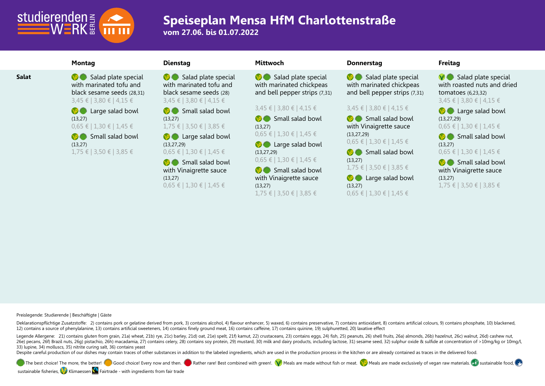

**vom 27.06. bis 01.07.2022**

**Salat** Salad plate special with marinated tofu and black sesame seeds (28,31) 3,45 € | 3,80 € | 4,15 €

> **C** Large salad bowl (13,27) 0,65 € | 1,30 € | 1,45 €

Small salad bowl (13,27) 1,75 € | 3,50 € | 3,85 €

Salad plate special with marinated tofu and black sesame seeds (28) 3,45 € | 3,80 € | 4,15 €

Small salad bowl (13,27) 1,75 € | 3,50 € | 3,85 €

**B** Large salad bowl (13,27,29)

0,65 € | 1,30 € | 1,45 €

Small salad bowl with Vinaigrette sauce (13,27) 0,65 € | 1,30 € | 1,45 €

Salad plate special with marinated chickpeas and bell pepper strips (7,31)

### 3,45 € | 3,80 € | 4,15 €

Small salad bowl (13,27) 0,65 € | 1,30 € | 1,45 €

**C** Large salad bowl (13,27,29) 0,65 € | 1,30 € | 1,45 €

Small salad bowl with Vinaigrette sauce (13,27) 1,75 € | 3,50 € | 3,85 €

### **Montag Dienstag Mittwoch Donnerstag Freitag**

Salad plate special with marinated chickpeas and bell pepper strips (7,31)

### 3,45 € | 3,80 € | 4,15 €

Small salad bowl with Vinaigrette sauce (13,27,29) 0,65 € | 1,30 € | 1,45 €

Small salad bowl (13,27)

1,75 € | 3,50 € | 3,85 € **B** Large salad bowl

(13,27) 0,65 € | 1,30 € | 1,45 €

 $\bigcirc$  Salad plate special with roasted nuts and dried tomatoes (6,23,32) 3,45 € | 3,80 € | 4,15 €

**B** Large salad bowl (13,27,29) 0,65 € | 1,30 € | 1,45 €

Small salad bowl (13,27) 0,65 € | 1,30 € | 1,45 €

Small salad bowl with Vinaigrette sauce (13,27) 1,75 € | 3,50 € | 3,85 €

**Preislegende: Studierende | Beschäftigte | Gäste**

Deklarationspflichtige Zusatzstoffe: 2) contains pork or gelatine derived from pork, 3) contains alcohol, 4) flavour enhancer, 5) waxed, 6) contains preservative, 7) contains antioxidant, 8) contains artificial colours, 9) 12) contains a source of phenylalanine, 13) contains artificial sweeteners, 14) contains finely ground meat, 16) contains caffeine, 17) contains quinine, 19) sulphuretted, 20) laxative effect

Legende Allergene: 21) contains gluten from grain, 21a) wheat, 21b) rye, 21c) barley, 21d) oat, 21e) spelt, 21f) kamut, 22) crustaceans, 23) contains eggs, 24) fish, 25) peanuts, 26) shell fruits, 26a) almonds, 26b) hazeln 260 Decans, 260 Brazil nuts, 260 pistachio, 26h) macadamia, 27) contains celery, 28) contains soy protein, 29) mustard, 30) milk and dairy products, including lactose, 31) sesame seed, 32) sulphur oxide & sulfide at concen 33) lupine, 34) molluscs, 35) nitrite curing salt, 36) contains yeast

Despite careful production of our dishes may contain traces of other substances in addition to the labeled ingredients, which are used in the production process in the kitchen or are already contained as traces in the deli

The best choice! The more, the better! Good choice! Every now and then. Best combined with green!. W Meals are made without fish or meat. W Meals are made exclusively of vegan raw materials.  $\Box$  sustainable food,

sustainable fisheries, Kilimaessen Seairtrade - with ingredients from fair trade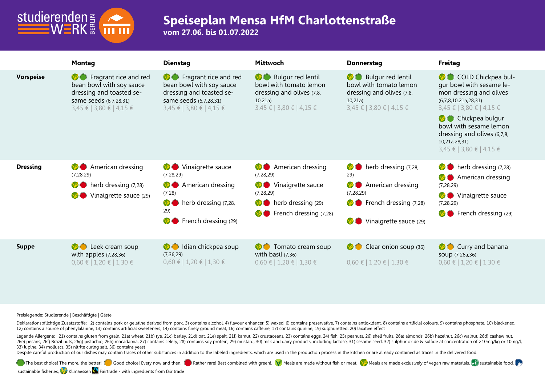

**vom 27.06. bis 01.07.2022**

|                  | <b>Montag</b>                                                                                                                                    | <b>Dienstag</b>                                                                                                                                                                     | Mittwoch                                                                                                                                                   | <b>Donnerstag</b>                                                                                                                                    | <b>Freitag</b>                                                                                                                                                                                                                                                      |
|------------------|--------------------------------------------------------------------------------------------------------------------------------------------------|-------------------------------------------------------------------------------------------------------------------------------------------------------------------------------------|------------------------------------------------------------------------------------------------------------------------------------------------------------|------------------------------------------------------------------------------------------------------------------------------------------------------|---------------------------------------------------------------------------------------------------------------------------------------------------------------------------------------------------------------------------------------------------------------------|
| <b>Vorspeise</b> | <b>S</b> Fragrant rice and red<br>bean bowl with soy sauce<br>dressing and toasted se-<br>same seeds (6,7,28,31)<br>$3,45 \in$   3,80 €   4,15 € | <b>S</b> Fragrant rice and red<br>bean bowl with soy sauce<br>dressing and toasted se-<br>same seeds (6,7,28,31)<br>$3,45 \in$   3,80 €   4,15 €                                    | Bulgur red lentil<br><b>NSO</b><br>bowl with tomato lemon<br>dressing and olives (7,8,<br>10,21a)<br>3,45 €   3,80 €   4,15 €                              | Bulgur red lentil<br><b>VSO</b><br>bowl with tomato lemon<br>dressing and olives (7,8,<br>10,21a)<br>$3,45 \notin$   3,80 €   4,15 €                 | COLD Chickpea bul-<br>gur bowl with sesame le-<br>mon dressing and olives<br>(6,7,8,10,21a,28,31)<br>$3,45 \in$   3,80 €   4,15 €<br><b>O</b> Chickpea bulgur<br>bowl with sesame lemon<br>dressing and olives (6,7,8,<br>10,21a,28,31)<br>3,45 €   3,80 €   4,15 € |
| <b>Dressing</b>  | American dressing<br>NY C<br>(7, 28, 29)<br>therb dressing (7,28)<br>Vinaigrette sauce (29)                                                      | Vinaigrette sauce<br>$\mathcal{P}(\cdot)$<br>(7, 28, 29)<br>American dressing<br><b>VSC</b><br>(7, 28)<br>herb dressing (7,28,<br><b>VSC</b><br>29)<br>French dressing (29)<br>NS ( | American dressing<br>NS (D)<br>(7, 28, 29)<br>Vinaigrette sauce<br><b>VSO</b><br>(7, 28, 29)<br>herb dressing (29)<br><b>NSC</b><br>French dressing (7,28) | herb dressing (7,28,<br>NS (<br>29)<br>American dressing<br>NS (<br>(7, 28, 29)<br>French dressing (7,28)<br>$\rightarrow$<br>Vinaigrette sauce (29) | $\bullet$ herb dressing $(7,28)$<br><b>M</b> American dressing<br>(7, 28, 29)<br>Vinaigrette sauce<br>VO.<br>(7, 28, 29)<br><b>C</b> French dressing (29)                                                                                                           |
| <b>Suppe</b>     | <b>O</b> Leek cream soup<br>with apples $(7, 28, 36)$<br>$0,60 \in 1,20 \in 1,30 \in$                                                            | Idian chickpea soup<br><b>VO</b><br>(7, 36, 29)<br>$0,60 \in   1,20 \in   1,30 \in$                                                                                                 | Tomato cream soup<br>N<br>with basil $(7,36)$<br>$0,60 \in 1,20 \in 1,30 \in$                                                                              | Clear onion soup (36)<br><b>NSO</b><br>$0,60 \in 1,20 \in 1,30 \in$                                                                                  | <b>C</b> Curry and banana<br>SOUP (7,26a,36)<br>$0,60 \in   1,20 \in   1,30 \in$                                                                                                                                                                                    |

**Preislegende: Studierende | Beschäftigte | Gäste**

Deklarationspflichtige Zusatzstoffe: 2) contains pork or gelatine derived from pork, 3) contains alcohol, 4) flavour enhancer, 5) waxed, 6) contains preservative, 7) contains antioxidant, 8) contains artificial colours, 9) 12) contains a source of phenylalanine, 13) contains artificial sweeteners, 14) contains finely ground meat, 16) contains caffeine, 17) contains quinine, 19) sulphuretted, 20) laxative effect

Legende Allergene: 21) contains gluten from grain, 21a) wheat, 21b) rye, 21c) barley, 21d) oat, 21e) spelt, 21f) kamut, 22) crustaceans, 23) contains eggs, 24) fish, 25) peanuts, 26) shell fruits, 26a) almonds, 26b) hazeln 260 Decans, 260 Brazil nuts, 260 Distachio, 26th macadamia, 27) contains celery, 28) contains soy protein, 29) mustard, 30) milk and dairy products, including lactose, 31) sesame seed, 32) sulphur oxide & sulfide at concen 33) lupine, 34) molluscs, 35) nitrite curing salt, 36) contains yeast

Despite careful production of our dishes may contain traces of other substances in addition to the labeled ingredients, which are used in the production process in the kitchen or are already contained as traces in the deli

The best choice! The more, the better! Good choice! Every now and then. Best combined with green!. Meals are made without fish or meat. Meals are made exclusively of vegan raw materials. Sustainable food,

sustainable fisheries, Klimaessen **S** Fairtrade - with ingredients from fair trade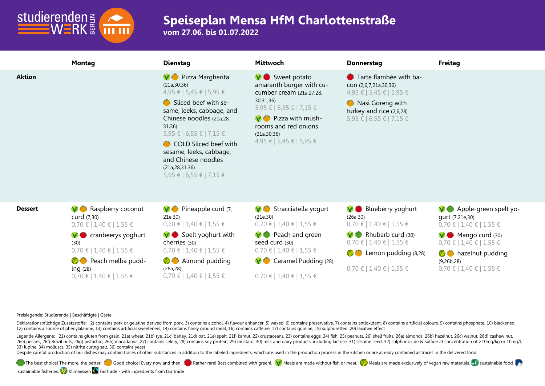

**vom 27.06. bis 01.07.2022**

|                | <b>Montag</b>                                                                                                                                                                                                                 | <b>Dienstag</b>                                                                                                                                                                                                                                                                                                          | Mittwoch                                                                                                                                                                                                                | <b>Donnerstag</b>                                                                                                                                                                                         | <b>Freitag</b>                                                                                                                                                                                                           |
|----------------|-------------------------------------------------------------------------------------------------------------------------------------------------------------------------------------------------------------------------------|--------------------------------------------------------------------------------------------------------------------------------------------------------------------------------------------------------------------------------------------------------------------------------------------------------------------------|-------------------------------------------------------------------------------------------------------------------------------------------------------------------------------------------------------------------------|-----------------------------------------------------------------------------------------------------------------------------------------------------------------------------------------------------------|--------------------------------------------------------------------------------------------------------------------------------------------------------------------------------------------------------------------------|
| <b>Aktion</b>  |                                                                                                                                                                                                                               | <b>V</b> Pizza Margherita<br>(21a, 30, 36)<br>4,95 €   5,45 €   5,95 €<br>Sliced beef with se-<br>same, leeks, cabbage, and<br>Chinese noodles (21a,28,<br>31,36<br>5,95 €   6,55 €   7,15 €<br>COLD Sliced beef with<br>sesame, leeks, cabbage,<br>and Chinese noodles<br>(21a, 28, 31, 36)<br>5,95 €   6,55 €   7,15 € | V Sweet potato<br>amaranth burger with cu-<br>cumber cream (21a, 27, 28,<br>30, 31, 36)<br>5,95 €   6,55 €   7,15 €<br>$\vee$ Pizza with mush-<br>rooms and red onions<br>(21a, 30, 36)<br>$4,95 \in$   5,45 €   5,95 € | ● Tarte flambée with ba-<br>CON (2,6,7,21a,30,36)<br>4,95 €   5,45 €   5,95 €<br>Nasi Goreng with<br>turkey and rice (2,6,28)<br>5,95 €   6,55 €   7,15 €                                                 |                                                                                                                                                                                                                          |
| <b>Dessert</b> | <b>V</b> Raspberry coconut<br>curd (7,30)<br>$0,70 \in   1,40 \in   1,55 \in$<br>$\vee$ cranbeerys yoghurt<br>(30)<br>$0,70 \in   1,40 \in   1,55 \in$<br>Peach melba pudd-<br>ing $(28)$<br>$0,70 \in   1,40 \in   1,55 \in$ | $\nabla$ Pineapple curd $(7, 7)$<br>21e, 30)<br>$0,70 \in   1,40 \in   1,55 \in$<br>$\vee$ Spelt yoghurt with<br>cherries (30)<br>$0,70 \in   1,40 \in   1,55 \in$<br><b>M</b> Almond pudding<br>(26a, 28)<br>$0,70 \in   1,40 \in   1,55 \in$                                                                           | $\vee$ Stracciatella yogurt<br>(21e, 30)<br>$0,70 \in   1,40 \in   1,55 \in$<br>$\vee$ Peach and green<br>seed curd (30)<br>$0,70 \in$   1,40 €   1,55 €<br>Caramel Pudding (28)<br>$0,70 \in   1,40 \in   1,55 \in$    | V Blueberry yoghurt<br>(26a, 30)<br>$0,70 \in   1,40 \in   1,55 \in$<br>$\vee$ Rhubarb curd (30)<br>$0,70 \in   1,40 \in   1,55 \in$<br><b>C</b> Lemon pudding (8,28)<br>$0,70 \in   1,40 \in   1,55 \in$ | $\vee$ Apple-green spelt yo-<br>qurt (7,21e,30)<br>$0,70 \in$   1,40 €   1,55 €<br>$\vee$ Mango curd (30)<br>$0,70 \in   1,40 \in   1,55 \in$<br><b>B</b> hazelnut pudding<br>(9,26b,28)<br>$0,70 \in$   1,40 €   1,55 € |

**Preislegende: Studierende | Beschäftigte | Gäste**

Deklarationspflichtige Zusatzstoffe: 2) contains pork or gelatine derived from pork, 3) contains alcohol, 4) flavour enhancer, 5) waxed, 6) contains preservative, 7) contains antioxidant, 8) contains artificial colours, 9) 12) contains a source of phenylalanine, 13) contains artificial sweeteners, 14) contains finely ground meat, 16) contains caffeine, 17) contains quinine, 19) sulphuretted, 20) laxative effect

Legende Allergene: 21) contains gluten from grain, 21a) wheat, 21b) rye, 21c) barley, 21d) oat, 21e) spelt, 21f) kamut, 22) crustaceans, 23) contains eggs, 24) fish, 25) peanuts, 26) shell fruits, 26a) almonds, 26b) hazeln 260 Decans, 260 Brazil nuts, 260 Distachio, 26th macadamia, 27) contains celery, 28) contains soy protein, 29) mustard, 30) milk and dairy products, including lactose, 31) sesame seed, 32) sulphur oxide & sulfide at concen 33) lupine, 34) molluscs, 35) nitrite curing salt, 36) contains yeast

Despite careful production of our dishes may contain traces of other substances in addition to the labeled ingredients, which are used in the production process in the kitchen or are already contained as traces in the deli

The best choice! The more, the better!  $\Box$  Good choice! Every now and then.  $\Box$  Rather rare! Best combined with green!.  $\Box$  Meals are made without fish or meat.  $\Box$  Meals are made exclusively of vegan raw materials.

sustainable fisheries, Klimaessen **S** Fairtrade - with ingredients from fair trade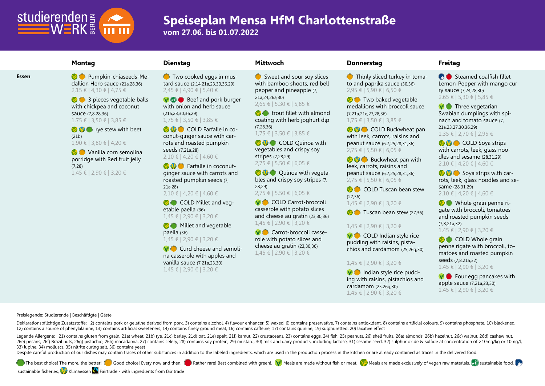

**vom 27.06. bis 01.07.2022**

**Essen Pumpkin-chiaseeds-Me**dallion Herb sauce (21a,28,36) 2,15 € | 4,30 € | 4,75 €

> **3** pieces vegetable balls with chickpea and coconut sauce (7,8,28,36) 1,75 € | 3,50 € | 3,85 €

**Produce** rye stew with beet (21b) 1,90 € | 3,80 € | 4,20 €

**Vanilla corn semolina** porridge with Red fruit jelly (7,28) 1,45 € | 2,90 € | 3,20 €

**O** Two cooked eggs in mustard sauce (2,14,21a,23,30,36,29) 2,45 € | 4,90 € | 5,40 €

**V B** eef and pork burger with onion and herb sauce (21a,23,30,36,29) 1,75 € | 3,50 € | 3,85 €

COLD Farfalle in coconut-ginger sauce with carrots and roasted pumpkin seeds (7,21a,28) 2,10 € | 4,20 € | 4,60 €

**BO** Farfalle in coconutginger sauce with carrots and roasted pumpkin seeds (7, 21a,28)

2,10 € | 4,20 € | 4,60 €

COLD Millet and vegetable paella (36) 1,45 € | 2,90 € | 3,20 €

**Millet and vegetable** 

paella (36) 1,45 € | 2,90 € | 3,20 €

 $\bigcirc$  Curd cheese and semolina casserole with apples and vanilla sauce (7,21a,23,30) 1,45 € | 2,90 € | 3,20 €

Sweet and sour soy slices with bamboo shoots, red bell pepper and pineapple (7,

21a,24,26a,30) 2,65 € | 5,30 € | 5,85 €

 $\bigcirc$  trout fillet with almond coating with herb joghurt dip (7,28,36)

### 1,75 € | 3,50 € | 3,85 €

**COLD Quinoa with** vegetables and crispy soy stripes (7,28,29) 2,75 € | 5,50 € | 6,05 €

**Quinoa with vegeta**bles and crispy soy stripes (7, 28,29) 2,75 € | 5,50 € | 6,05 €

**V COLD Carrot-broccoli** casserole with potato slices and cheese au gratin (23,30,36) 1,45 € | 2,90 € | 3,20 €

**V** Carrot-broccoli casserole with potato slices and cheese au gratin (23,30,36) 1,45 € | 2,90 € | 3,20 €

### **Montag Dienstag Mittwoch Donnerstag Freitag**

**O** Thinly sliced turkey in tomato and paprika sauce (30,36) 2,95 € | 5,90 € | 6,50 €

**Two baked vegetable** medallions with broccoli sauce (7,21a,21e,27,28,36) 1,75 € | 3,50 € | 3,85 €

COLD Buckwheat pan with leek, carrots, raisins and peanut sauce (6,7,25,28,31,36) 2,75 € | 5,50 € | 6,05 €

**Buckwheat pan with** leek, carrots, raisins and peanut sauce (6,7,25,28,31,36) 2,75 € | 5,50 € | 6,05 €

COLD Tuscan bean stew (27,36) 1,45 € | 2,90 € | 3,20 €

 $\bullet$  Tuscan bean stew (27,36)

### 1,45 € | 2,90 € | 3,20 €

 $\bigvee$  COLD Indian style rice pudding with raisins, pistachios and cardamom (25,26g,30)

### 1,45 € | 2,90 € | 3,20 €

 $\nabla$  Indian style rice pudding with raisins, pistachios and cardamom (25,26g,30) 1,45 € | 2,90 € | 3,20 €

 $\bullet$  Steamed coalfish fillet Lemon-Pepper with mango curry sauce (7,24,28,30) 2,65 € | 5,30 € | 5,85 €

 $\bigvee$  Three vegetarian Swabian dumplings with spinach and tomato sauce (7, 21a,23,27,30,36,29) 1,35 € | 2,70 € | 2,95 €

**COLD** Soya strips with carrots, leek, glass noodles and sesame (28,31,29) 2,10 € | 4,20 € | 4,60 €

 $\mathbf{S}$   $\mathbf{S}$  Soya strips with carrots, leek, glass noodles and sesame (28,31,29) 2,10 € | 4,20 € | 4,60 €

Whole grain penne rigate with broccoli, tomatoes and roasted pumpkin seeds (7,8,21a,32) 1,45 € | 2,90 € | 3,20 €

COLD Whole grain penne rigate with broccoli, tomatoes and roasted pumpkin seeds (7,8,21a,32) 1,45 € | 2,90 € | 3,20 €

 $\bigcirc$  Four egg pancakes with apple sauce (7,21a,23,30) 1,45 € | 2,90 € | 3,20 €

**Preislegende: Studierende | Beschäftigte | Gäste**

Deklarationspflichtige Zusatzstoffe: 2) contains pork or gelatine derived from pork, 3) contains alcohol, 4) flavour enhancer, 5) waxed, 6) contains preservative, 7) contains antioxidant, 8) contains artificial colours, 9) 12) contains a source of phenylalanine, 13) contains artificial sweeteners, 14) contains finely ground meat, 16) contains caffeine, 17) contains quinine, 19) sulphuretted, 20) laxative effect

Legende Allergene: 21) contains gluten from grain, 21a) wheat, 21b) rye, 21c) barley, 21d) oat, 21e) spelt, 21f) kamut, 22) crustaceans, 23) contains eggs, 24) fish, 25) peanuts, 26) shell fruits, 26a) almonds, 26b) hazeln 260 Decans, 260 Brazil nuts, 260 pistachio, 26h) macadamia, 27) contains celery, 28) contains soy protein, 29) mustard, 30) milk and dairy products, including lactose, 31) sesame seed, 32) sulphur oxide & sulfide at concen 33) lupine, 34) molluscs, 35) nitrite curing salt, 36) contains yeast

Despite careful production of our dishes may contain traces of other substances in addition to the labeled ingredients, which are used in the production process in the kitchen or are already contained as traces in the deli

The best choice! The more, the better! Good choice! Every now and then. Best combined with green!. W Meals are made without fish or meat. W Meals are made exclusively of vegan raw materials.  $\Box$  sustainable food,

sustainable fisheries, Klimaessen **S** Fairtrade - with ingredients from fair trade